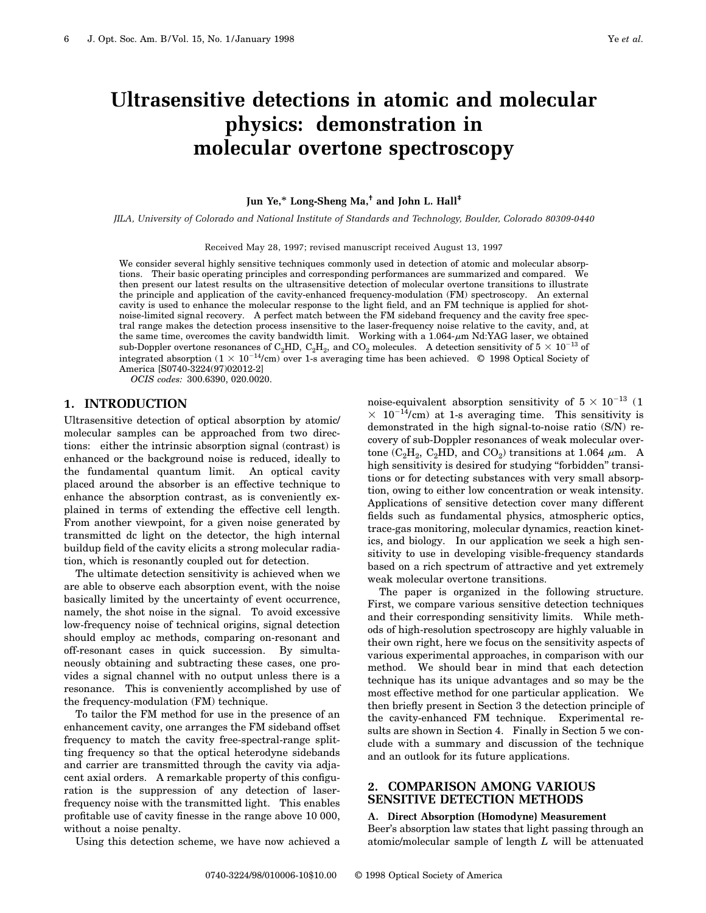# **Ultrasensitive detections in atomic and molecular physics: demonstration in molecular overtone spectroscopy**

#### **Jun Ye,**\* **Long-Sheng Ma,† and John L. Hall‡**

*JILA, University of Colorado and National Institute of Standards and Technology, Boulder, Colorado 80309-0440*

Received May 28, 1997; revised manuscript received August 13, 1997

We consider several highly sensitive techniques commonly used in detection of atomic and molecular absorptions. Their basic operating principles and corresponding performances are summarized and compared. We then present our latest results on the ultrasensitive detection of molecular overtone transitions to illustrate the principle and application of the cavity-enhanced frequency-modulation (FM) spectroscopy. An external cavity is used to enhance the molecular response to the light field, and an FM technique is applied for shotnoise-limited signal recovery. A perfect match between the FM sideband frequency and the cavity free spectral range makes the detection process insensitive to the laser-frequency noise relative to the cavity, and, at the same time, overcomes the cavity bandwidth limit. Working with a  $1.064-\mu m$  Nd:YAG laser, we obtained sub-Doppler overtone resonances of C<sub>2</sub>HD, C<sub>2</sub>H<sub>2</sub>, and CO<sub>2</sub> molecules. A detection sensitivity of  $5 \times 10^{-13}$  of integrated absorption  $(1 \times 10^{-14}/\text{cm})$  over 1-s averaging time has been achieved. © 1998 Optical Society of America [S0740-3224(97)02012-2]

*OCIS codes:* 300.6390, 020.0020.

## **1. INTRODUCTION**

Ultrasensitive detection of optical absorption by atomic/ molecular samples can be approached from two directions: either the intrinsic absorption signal (contrast) is enhanced or the background noise is reduced, ideally to the fundamental quantum limit. An optical cavity placed around the absorber is an effective technique to enhance the absorption contrast, as is conveniently explained in terms of extending the effective cell length. From another viewpoint, for a given noise generated by transmitted dc light on the detector, the high internal buildup field of the cavity elicits a strong molecular radiation, which is resonantly coupled out for detection.

The ultimate detection sensitivity is achieved when we are able to observe each absorption event, with the noise basically limited by the uncertainty of event occurrence, namely, the shot noise in the signal. To avoid excessive low-frequency noise of technical origins, signal detection should employ ac methods, comparing on-resonant and off-resonant cases in quick succession. By simultaneously obtaining and subtracting these cases, one provides a signal channel with no output unless there is a resonance. This is conveniently accomplished by use of the frequency-modulation (FM) technique.

To tailor the FM method for use in the presence of an enhancement cavity, one arranges the FM sideband offset frequency to match the cavity free-spectral-range splitting frequency so that the optical heterodyne sidebands and carrier are transmitted through the cavity via adjacent axial orders. A remarkable property of this configuration is the suppression of any detection of laserfrequency noise with the transmitted light. This enables profitable use of cavity finesse in the range above 10 000, without a noise penalty.

Using this detection scheme, we have now achieved a

noise-equivalent absorption sensitivity of  $5 \times 10^{-13}$  (1)  $\times$  10<sup>-14</sup>/cm) at 1-s averaging time. This sensitivity is demonstrated in the high signal-to-noise ratio (S/N) recovery of sub-Doppler resonances of weak molecular overtone  $(C_2H_2, C_2HD,$  and  $CO_2$ ) transitions at 1.064  $\mu$ m. A high sensitivity is desired for studying "forbidden" transitions or for detecting substances with very small absorption, owing to either low concentration or weak intensity. Applications of sensitive detection cover many different fields such as fundamental physics, atmospheric optics, trace-gas monitoring, molecular dynamics, reaction kinetics, and biology. In our application we seek a high sensitivity to use in developing visible-frequency standards based on a rich spectrum of attractive and yet extremely weak molecular overtone transitions.

The paper is organized in the following structure. First, we compare various sensitive detection techniques and their corresponding sensitivity limits. While methods of high-resolution spectroscopy are highly valuable in their own right, here we focus on the sensitivity aspects of various experimental approaches, in comparison with our method. We should bear in mind that each detection technique has its unique advantages and so may be the most effective method for one particular application. We then briefly present in Section 3 the detection principle of the cavity-enhanced FM technique. Experimental results are shown in Section 4. Finally in Section 5 we conclude with a summary and discussion of the technique and an outlook for its future applications.

# **2. COMPARISON AMONG VARIOUS SENSITIVE DETECTION METHODS**

# **A. Direct Absorption (Homodyne) Measurement** Beer's absorption law states that light passing through an atomic/molecular sample of length *L* will be attenuated

0740-3224/98/010006-10\$10.00 © 1998 Optical Society of America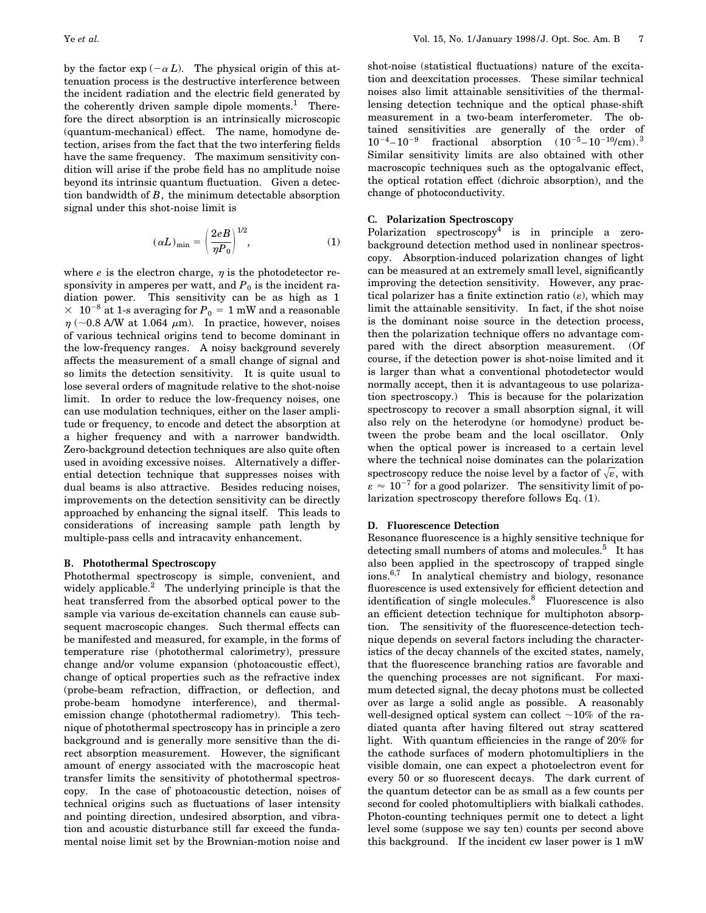by the factor  $\exp(-\alpha L)$ . The physical origin of this attenuation process is the destructive interference between the incident radiation and the electric field generated by the coherently driven sample dipole moments.<sup>1</sup> Therefore the direct absorption is an intrinsically microscopic (quantum-mechanical) effect. The name, homodyne detection, arises from the fact that the two interfering fields have the same frequency. The maximum sensitivity condition will arise if the probe field has no amplitude noise beyond its intrinsic quantum fluctuation. Given a detection bandwidth of *B*, the minimum detectable absorption signal under this shot-noise limit is

$$
(\alpha L)_{\min} = \left(\frac{2eB}{\eta P_0}\right)^{1/2},\tag{1}
$$

where  $e$  is the electron charge,  $\eta$  is the photodetector responsivity in amperes per watt, and  $P_0$  is the incident radiation power. This sensitivity can be as high as 1  $\times$  10<sup>-8</sup> at 1-s averaging for  $P_0 = 1$  mW and a reasonable  $\eta$  (~0.8 A/W at 1.064  $\mu$ m). In practice, however, noises of various technical origins tend to become dominant in the low-frequency ranges. A noisy background severely affects the measurement of a small change of signal and so limits the detection sensitivity. It is quite usual to lose several orders of magnitude relative to the shot-noise limit. In order to reduce the low-frequency noises, one can use modulation techniques, either on the laser amplitude or frequency, to encode and detect the absorption at a higher frequency and with a narrower bandwidth. Zero-background detection techniques are also quite often used in avoiding excessive noises. Alternatively a differential detection technique that suppresses noises with dual beams is also attractive. Besides reducing noises, improvements on the detection sensitivity can be directly approached by enhancing the signal itself. This leads to considerations of increasing sample path length by multiple-pass cells and intracavity enhancement.

## **B. Photothermal Spectroscopy**

Photothermal spectroscopy is simple, convenient, and widely applicable. $^{2}$  The underlying principle is that the heat transferred from the absorbed optical power to the sample via various de-excitation channels can cause subsequent macroscopic changes. Such thermal effects can be manifested and measured, for example, in the forms of temperature rise (photothermal calorimetry), pressure change and/or volume expansion (photoacoustic effect), change of optical properties such as the refractive index (probe-beam refraction, diffraction, or deflection, and probe-beam homodyne interference), and thermalemission change (photothermal radiometry). This technique of photothermal spectroscopy has in principle a zero background and is generally more sensitive than the direct absorption measurement. However, the significant amount of energy associated with the macroscopic heat transfer limits the sensitivity of photothermal spectroscopy. In the case of photoacoustic detection, noises of technical origins such as fluctuations of laser intensity and pointing direction, undesired absorption, and vibration and acoustic disturbance still far exceed the fundamental noise limit set by the Brownian-motion noise and

shot-noise (statistical fluctuations) nature of the excitation and deexcitation processes. These similar technical noises also limit attainable sensitivities of the thermallensing detection technique and the optical phase-shift measurement in a two-beam interferometer. The obtained sensitivities are generally of the order of  $10^{-4} - 10^{-9}$  fractional absorption  $(10^{-5} - 10^{-10}/\text{cm})$ .<sup>3</sup> Similar sensitivity limits are also obtained with other macroscopic techniques such as the optogalvanic effect, the optical rotation effect (dichroic absorption), and the change of photoconductivity.

#### **C. Polarization Spectroscopy**

Polarization spectroscopy<sup>4</sup> is in principle a zerobackground detection method used in nonlinear spectroscopy. Absorption-induced polarization changes of light can be measured at an extremely small level, significantly improving the detection sensitivity. However, any practical polarizer has a finite extinction ratio  $(\varepsilon)$ , which may limit the attainable sensitivity. In fact, if the shot noise is the dominant noise source in the detection process, then the polarization technique offers no advantage compared with the direct absorption measurement. (Of course, if the detection power is shot-noise limited and it is larger than what a conventional photodetector would normally accept, then it is advantageous to use polarization spectroscopy.) This is because for the polarization spectroscopy to recover a small absorption signal, it will also rely on the heterodyne (or homodyne) product between the probe beam and the local oscillator. Only when the optical power is increased to a certain level where the technical noise dominates can the polarization spectroscopy reduce the noise level by a factor of  $\sqrt{\varepsilon}$ , with  $\varepsilon \approx 10^{-7}$  for a good polarizer. The sensitivity limit of polarization spectroscopy therefore follows Eq. (1).

#### **D. Fluorescence Detection**

Resonance fluorescence is a highly sensitive technique for detecting small numbers of atoms and molecules.<sup>5</sup> It has also been applied in the spectroscopy of trapped single  $\mu$ ions.<sup>6,7</sup> In analytical chemistry and biology, resonance fluorescence is used extensively for efficient detection and identification of single molecules. $8$  Fluorescence is also an efficient detection technique for multiphoton absorption. The sensitivity of the fluorescence-detection technique depends on several factors including the characteristics of the decay channels of the excited states, namely, that the fluorescence branching ratios are favorable and the quenching processes are not significant. For maximum detected signal, the decay photons must be collected over as large a solid angle as possible. A reasonably well-designed optical system can collect  $\sim$ 10% of the radiated quanta after having filtered out stray scattered light. With quantum efficiencies in the range of 20% for the cathode surfaces of modern photomultipliers in the visible domain, one can expect a photoelectron event for every 50 or so fluorescent decays. The dark current of the quantum detector can be as small as a few counts per second for cooled photomultipliers with bialkali cathodes. Photon-counting techniques permit one to detect a light level some (suppose we say ten) counts per second above this background. If the incident cw laser power is 1 mW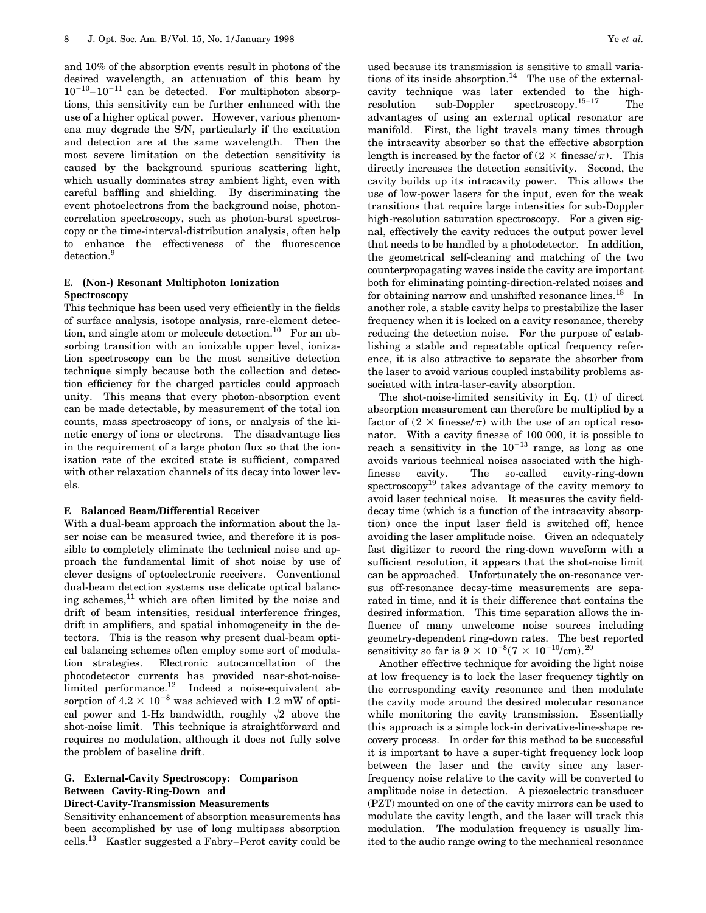and 10% of the absorption events result in photons of the desired wavelength, an attenuation of this beam by  $10^{-10} - 10^{-11}$  can be detected. For multiphoton absorptions, this sensitivity can be further enhanced with the use of a higher optical power. However, various phenomena may degrade the S/N, particularly if the excitation and detection are at the same wavelength. Then the most severe limitation on the detection sensitivity is caused by the background spurious scattering light, which usually dominates stray ambient light, even with careful baffling and shielding. By discriminating the event photoelectrons from the background noise, photoncorrelation spectroscopy, such as photon-burst spectroscopy or the time-interval-distribution analysis, often help to enhance the effectiveness of the fluorescence detection.9

## **E. (Non-) Resonant Multiphoton Ionization Spectroscopy**

This technique has been used very efficiently in the fields of surface analysis, isotope analysis, rare-element detection, and single atom or molecule detection.<sup>10</sup> For an absorbing transition with an ionizable upper level, ionization spectroscopy can be the most sensitive detection technique simply because both the collection and detection efficiency for the charged particles could approach unity. This means that every photon-absorption event can be made detectable, by measurement of the total ion counts, mass spectroscopy of ions, or analysis of the kinetic energy of ions or electrons. The disadvantage lies in the requirement of a large photon flux so that the ionization rate of the excited state is sufficient, compared with other relaxation channels of its decay into lower levels.

#### **F. Balanced Beam/Differential Receiver**

With a dual-beam approach the information about the laser noise can be measured twice, and therefore it is possible to completely eliminate the technical noise and approach the fundamental limit of shot noise by use of clever designs of optoelectronic receivers. Conventional dual-beam detection systems use delicate optical balancing schemes,<sup>11</sup> which are often limited by the noise and drift of beam intensities, residual interference fringes, drift in amplifiers, and spatial inhomogeneity in the detectors. This is the reason why present dual-beam optical balancing schemes often employ some sort of modulation strategies. Electronic autocancellation of the photodetector currents has provided near-shot-noiselimited performance.<sup>12</sup> Indeed a noise-equivalent absorption of  $4.2 \times 10^{-8}$  was achieved with 1.2 mW of optical power and 1-Hz bandwidth, roughly  $\sqrt{2}$  above the shot-noise limit. This technique is straightforward and requires no modulation, although it does not fully solve the problem of baseline drift.

# **G. External-Cavity Spectroscopy: Comparison Between Cavity-Ring-Down and**

## **Direct-Cavity-Transmission Measurements**

Sensitivity enhancement of absorption measurements has been accomplished by use of long multipass absorption cells.13 Kastler suggested a Fabry–Perot cavity could be used because its transmission is sensitive to small variations of its inside absorption.<sup>14</sup> The use of the externalcavity technique was later extended to the highresolution sub-Doppler spectroscopy.<sup>15–17</sup> The advantages of using an external optical resonator are manifold. First, the light travels many times through the intracavity absorber so that the effective absorption length is increased by the factor of  $(2 \times \text{fnesse}/\pi)$ . This directly increases the detection sensitivity. Second, the cavity builds up its intracavity power. This allows the use of low-power lasers for the input, even for the weak transitions that require large intensities for sub-Doppler high-resolution saturation spectroscopy. For a given signal, effectively the cavity reduces the output power level that needs to be handled by a photodetector. In addition, the geometrical self-cleaning and matching of the two counterpropagating waves inside the cavity are important both for eliminating pointing-direction-related noises and for obtaining narrow and unshifted resonance lines.<sup>18</sup> In another role, a stable cavity helps to prestabilize the laser frequency when it is locked on a cavity resonance, thereby reducing the detection noise. For the purpose of establishing a stable and repeatable optical frequency reference, it is also attractive to separate the absorber from the laser to avoid various coupled instability problems associated with intra-laser-cavity absorption.

The shot-noise-limited sensitivity in Eq. (1) of direct absorption measurement can therefore be multiplied by a factor of  $(2 \times \text{fnesse}/\pi)$  with the use of an optical resonator. With a cavity finesse of 100 000, it is possible to reach a sensitivity in the  $10^{-13}$  range, as long as one avoids various technical noises associated with the highfinesse cavity. The so-called cavity-ring-down spectroscopy<sup>19</sup> takes advantage of the cavity memory to avoid laser technical noise. It measures the cavity fielddecay time (which is a function of the intracavity absorption) once the input laser field is switched off, hence avoiding the laser amplitude noise. Given an adequately fast digitizer to record the ring-down waveform with a sufficient resolution, it appears that the shot-noise limit can be approached. Unfortunately the on-resonance versus off-resonance decay-time measurements are separated in time, and it is their difference that contains the desired information. This time separation allows the influence of many unwelcome noise sources including geometry-dependent ring-down rates. The best reported sensitivity so far is  $9\times 10^{-8}(7\times 10^{-10}\!/{\rm cm})^{20}$ 

Another effective technique for avoiding the light noise at low frequency is to lock the laser frequency tightly on the corresponding cavity resonance and then modulate the cavity mode around the desired molecular resonance while monitoring the cavity transmission. Essentially this approach is a simple lock-in derivative-line-shape recovery process. In order for this method to be successful it is important to have a super-tight frequency lock loop between the laser and the cavity since any laserfrequency noise relative to the cavity will be converted to amplitude noise in detection. A piezoelectric transducer (PZT) mounted on one of the cavity mirrors can be used to modulate the cavity length, and the laser will track this modulation. The modulation frequency is usually limited to the audio range owing to the mechanical resonance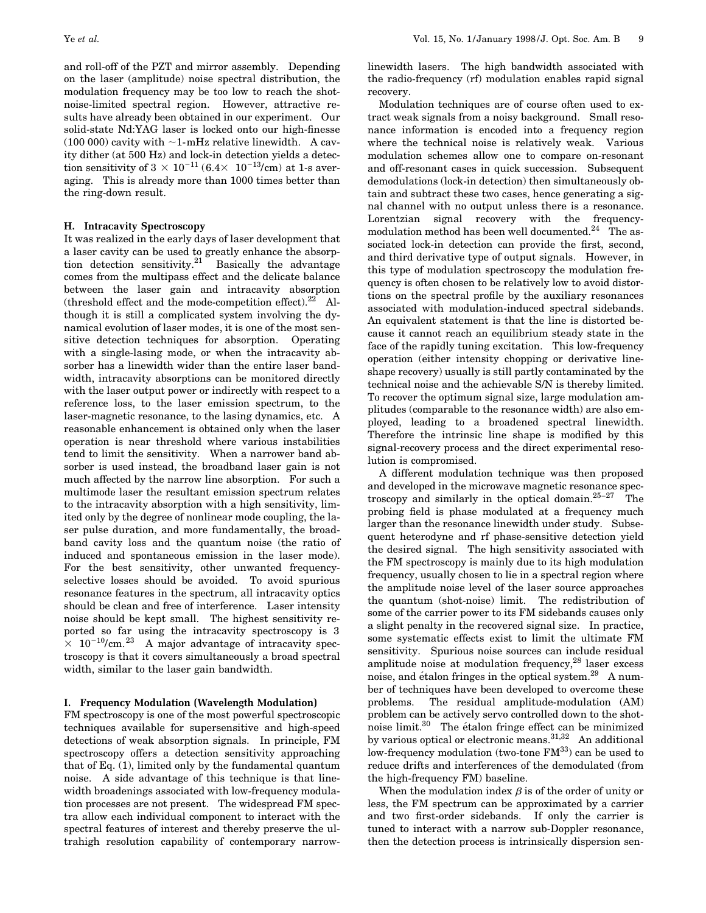and roll-off of the PZT and mirror assembly. Depending on the laser (amplitude) noise spectral distribution, the modulation frequency may be too low to reach the shotnoise-limited spectral region. However, attractive results have already been obtained in our experiment. Our solid-state Nd:YAG laser is locked onto our high-finesse (100 000) cavity with  $\sim$ 1-mHz relative linewidth. A cavity dither (at 500 Hz) and lock-in detection yields a detection sensitivity of  $3 \times 10^{-11}$  (6.4 $\times$  10<sup>-13</sup>/cm) at 1-s averaging. This is already more than 1000 times better than the ring-down result.

#### **H. Intracavity Spectroscopy**

It was realized in the early days of laser development that a laser cavity can be used to greatly enhance the absorption detection sensitivity.<sup>21</sup> Basically the advantage comes from the multipass effect and the delicate balance between the laser gain and intracavity absorption (threshold effect and the mode-competition effect).<sup>22</sup> Although it is still a complicated system involving the dynamical evolution of laser modes, it is one of the most sensitive detection techniques for absorption. Operating with a single-lasing mode, or when the intracavity absorber has a linewidth wider than the entire laser bandwidth, intracavity absorptions can be monitored directly with the laser output power or indirectly with respect to a reference loss, to the laser emission spectrum, to the laser-magnetic resonance, to the lasing dynamics, etc. A reasonable enhancement is obtained only when the laser operation is near threshold where various instabilities tend to limit the sensitivity. When a narrower band absorber is used instead, the broadband laser gain is not much affected by the narrow line absorption. For such a multimode laser the resultant emission spectrum relates to the intracavity absorption with a high sensitivity, limited only by the degree of nonlinear mode coupling, the laser pulse duration, and more fundamentally, the broadband cavity loss and the quantum noise (the ratio of induced and spontaneous emission in the laser mode). For the best sensitivity, other unwanted frequencyselective losses should be avoided. To avoid spurious resonance features in the spectrum, all intracavity optics should be clean and free of interference. Laser intensity noise should be kept small. The highest sensitivity reported so far using the intracavity spectroscopy is 3  $\times$  10<sup>-10</sup>/cm.<sup>23</sup> A major advantage of intracavity spectroscopy is that it covers simultaneously a broad spectral width, similar to the laser gain bandwidth.

## **I. Frequency Modulation (Wavelength Modulation)**

FM spectroscopy is one of the most powerful spectroscopic techniques available for supersensitive and high-speed detections of weak absorption signals. In principle, FM spectroscopy offers a detection sensitivity approaching that of Eq. (1), limited only by the fundamental quantum noise. A side advantage of this technique is that linewidth broadenings associated with low-frequency modulation processes are not present. The widespread FM spectra allow each individual component to interact with the spectral features of interest and thereby preserve the ultrahigh resolution capability of contemporary narrowlinewidth lasers. The high bandwidth associated with the radio-frequency (rf) modulation enables rapid signal recovery.

Modulation techniques are of course often used to extract weak signals from a noisy background. Small resonance information is encoded into a frequency region where the technical noise is relatively weak. Various modulation schemes allow one to compare on-resonant and off-resonant cases in quick succession. Subsequent demodulations (lock-in detection) then simultaneously obtain and subtract these two cases, hence generating a signal channel with no output unless there is a resonance. Lorentzian signal recovery with the frequencymodulation method has been well documented.<sup>24</sup> The associated lock-in detection can provide the first, second, and third derivative type of output signals. However, in this type of modulation spectroscopy the modulation frequency is often chosen to be relatively low to avoid distortions on the spectral profile by the auxiliary resonances associated with modulation-induced spectral sidebands. An equivalent statement is that the line is distorted because it cannot reach an equilibrium steady state in the face of the rapidly tuning excitation. This low-frequency operation (either intensity chopping or derivative lineshape recovery) usually is still partly contaminated by the technical noise and the achievable S/N is thereby limited. To recover the optimum signal size, large modulation amplitudes (comparable to the resonance width) are also employed, leading to a broadened spectral linewidth. Therefore the intrinsic line shape is modified by this signal-recovery process and the direct experimental resolution is compromised.

A different modulation technique was then proposed and developed in the microwave magnetic resonance spectroscopy and similarly in the optical domain.25–<sup>27</sup> The probing field is phase modulated at a frequency much larger than the resonance linewidth under study. Subsequent heterodyne and rf phase-sensitive detection yield the desired signal. The high sensitivity associated with the FM spectroscopy is mainly due to its high modulation frequency, usually chosen to lie in a spectral region where the amplitude noise level of the laser source approaches the quantum (shot-noise) limit. The redistribution of some of the carrier power to its FM sidebands causes only a slight penalty in the recovered signal size. In practice, some systematic effects exist to limit the ultimate FM sensitivity. Spurious noise sources can include residual amplitude noise at modulation frequency,<sup>28</sup> laser excess noise, and étalon fringes in the optical system. $^{29}$  A number of techniques have been developed to overcome these problems. The residual amplitude-modulation (AM) problem can be actively servo controlled down to the shotnoise limit. $30$  The étalon fringe effect can be minimized by various optical or electronic means.<sup>31,32</sup> An additional low-frequency modulation (two-tone  $FM^{33}$ ) can be used to reduce drifts and interferences of the demodulated (from the high-frequency FM) baseline.

When the modulation index  $\beta$  is of the order of unity or less, the FM spectrum can be approximated by a carrier and two first-order sidebands. If only the carrier is tuned to interact with a narrow sub-Doppler resonance, then the detection process is intrinsically dispersion sen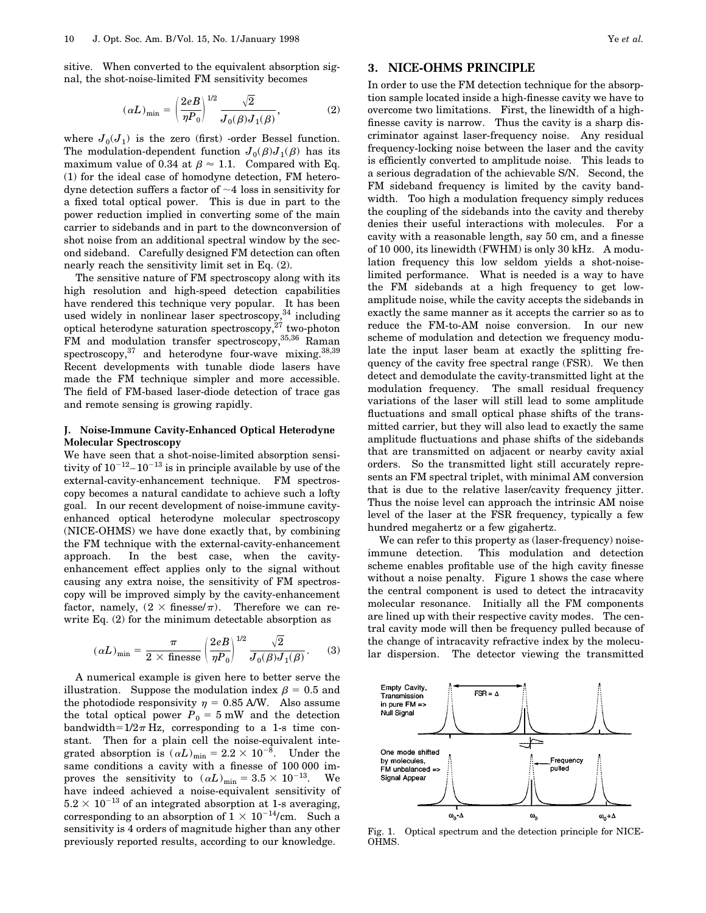sitive. When converted to the equivalent absorption signal, the shot-noise-limited FM sensitivity becomes

$$
(\alpha L)_{\min} = \left(\frac{2eB}{\eta P_0}\right)^{1/2} \frac{\sqrt{2}}{J_0(\beta)J_1(\beta)},\tag{2}
$$

where  $J_0(J_1)$  is the zero (first) -order Bessel function. The modulation-dependent function  $J_0(\beta)J_1(\beta)$  has its maximum value of 0.34 at  $\beta \approx 1.1$ . Compared with Eq. (1) for the ideal case of homodyne detection, FM heterodyne detection suffers a factor of  $\sim$ 4 loss in sensitivity for a fixed total optical power. This is due in part to the power reduction implied in converting some of the main carrier to sidebands and in part to the downconversion of shot noise from an additional spectral window by the second sideband. Carefully designed FM detection can often nearly reach the sensitivity limit set in Eq. (2).

The sensitive nature of FM spectroscopy along with its high resolution and high-speed detection capabilities have rendered this technique very popular. It has been used widely in nonlinear laser spectroscopy,<sup>34</sup> including optical heterodyne saturation spectroscopy, $^{27}$  two-photon FM and modulation transfer spectroscopy, 35,36 Raman spectroscopy,  $37$  and heterodyne four-wave mixing.  $38,39$ Recent developments with tunable diode lasers have made the FM technique simpler and more accessible. The field of FM-based laser-diode detection of trace gas and remote sensing is growing rapidly.

## **J. Noise-Immune Cavity-Enhanced Optical Heterodyne Molecular Spectroscopy**

We have seen that a shot-noise-limited absorption sensitivity of  $10^{-12}$ – $10^{-13}$  is in principle available by use of the external-cavity-enhancement technique. FM spectroscopy becomes a natural candidate to achieve such a lofty goal. In our recent development of noise-immune cavityenhanced optical heterodyne molecular spectroscopy (NICE-OHMS) we have done exactly that, by combining the FM technique with the external-cavity-enhancement approach. In the best case, when the cavityenhancement effect applies only to the signal without causing any extra noise, the sensitivity of FM spectroscopy will be improved simply by the cavity-enhancement factor, namely,  $(2 \times \text{fnesse}/\pi)$ . Therefore we can rewrite Eq. (2) for the minimum detectable absorption as

$$
(\alpha L)_{\rm min} = \frac{\pi}{2 \times \text{finesse}} \left(\frac{2eB}{\eta P_0}\right)^{1/2} \frac{\sqrt{2}}{J_0(\beta)J_1(\beta)}.
$$
 (3)

A numerical example is given here to better serve the illustration. Suppose the modulation index  $\beta = 0.5$  and the photodiode responsivity  $\eta = 0.85$  A/W. Also assume the total optical power  $P_0 = 5$  mW and the detection bandwidth= $1/2\pi$  Hz, corresponding to a 1-s time constant. Then for a plain cell the noise-equivalent integrated absorption is  $(\alpha L)_{\text{min}} = 2.2 \times 10^{-8}$ . Under the same conditions a cavity with a finesse of 100 000 improves the sensitivity to  $(\alpha L)_{\text{min}} = 3.5 \times 10^{-13}$ . We have indeed achieved a noise-equivalent sensitivity of  $5.2 \times 10^{-13}$  of an integrated absorption at 1-s averaging, corresponding to an absorption of  $1 \times 10^{-14}$ /cm. Such a sensitivity is 4 orders of magnitude higher than any other previously reported results, according to our knowledge.

# **3. NICE-OHMS PRINCIPLE**

In order to use the FM detection technique for the absorption sample located inside a high-finesse cavity we have to overcome two limitations. First, the linewidth of a highfinesse cavity is narrow. Thus the cavity is a sharp discriminator against laser-frequency noise. Any residual frequency-locking noise between the laser and the cavity is efficiently converted to amplitude noise. This leads to a serious degradation of the achievable S/N. Second, the FM sideband frequency is limited by the cavity bandwidth. Too high a modulation frequency simply reduces the coupling of the sidebands into the cavity and thereby denies their useful interactions with molecules. For a cavity with a reasonable length, say 50 cm, and a finesse of 10 000, its linewidth (FWHM) is only 30 kHz. A modulation frequency this low seldom yields a shot-noiselimited performance. What is needed is a way to have the FM sidebands at a high frequency to get lowamplitude noise, while the cavity accepts the sidebands in exactly the same manner as it accepts the carrier so as to reduce the FM-to-AM noise conversion. In our new scheme of modulation and detection we frequency modulate the input laser beam at exactly the splitting frequency of the cavity free spectral range (FSR). We then detect and demodulate the cavity-transmitted light at the modulation frequency. The small residual frequency variations of the laser will still lead to some amplitude fluctuations and small optical phase shifts of the transmitted carrier, but they will also lead to exactly the same amplitude fluctuations and phase shifts of the sidebands that are transmitted on adjacent or nearby cavity axial orders. So the transmitted light still accurately represents an FM spectral triplet, with minimal AM conversion that is due to the relative laser/cavity frequency jitter. Thus the noise level can approach the intrinsic AM noise level of the laser at the FSR frequency, typically a few hundred megahertz or a few gigahertz.

We can refer to this property as (laser-frequency) noiseimmune detection. This modulation and detection scheme enables profitable use of the high cavity finesse without a noise penalty. Figure 1 shows the case where the central component is used to detect the intracavity molecular resonance. Initially all the FM components are lined up with their respective cavity modes. The central cavity mode will then be frequency pulled because of the change of intracavity refractive index by the molecular dispersion. The detector viewing the transmitted



Fig. 1. Optical spectrum and the detection principle for NICE-OHMS.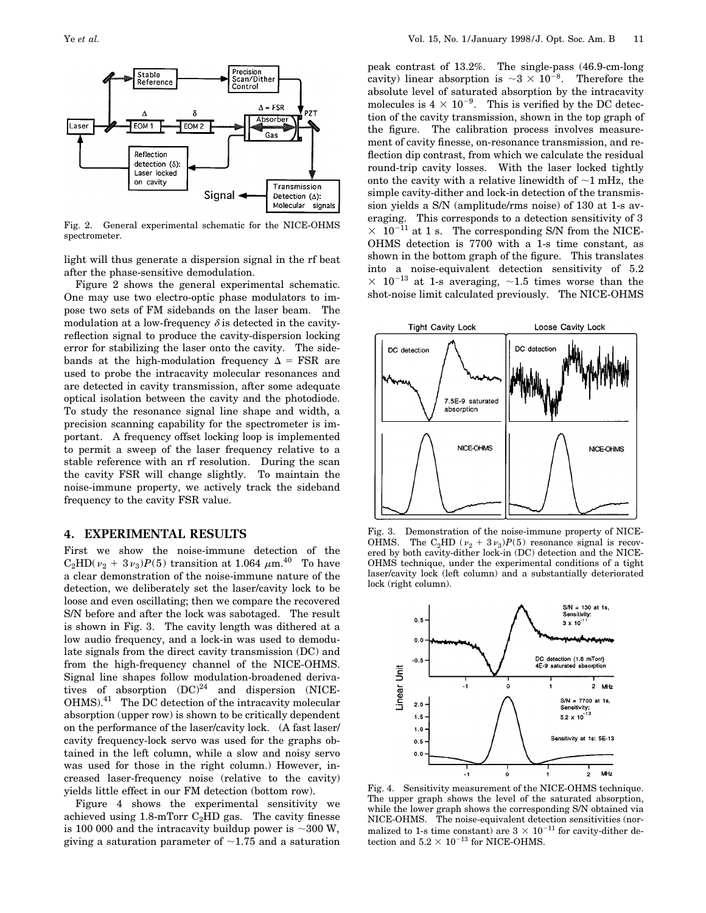

Fig. 2. General experimental schematic for the NICE-OHMS spectrometer.

light will thus generate a dispersion signal in the rf beat after the phase-sensitive demodulation.

Figure 2 shows the general experimental schematic. One may use two electro-optic phase modulators to impose two sets of FM sidebands on the laser beam. The modulation at a low-frequency  $\delta$  is detected in the cavityreflection signal to produce the cavity-dispersion locking error for stabilizing the laser onto the cavity. The sidebands at the high-modulation frequency  $\Delta = FSR$  are used to probe the intracavity molecular resonances and are detected in cavity transmission, after some adequate optical isolation between the cavity and the photodiode. To study the resonance signal line shape and width, a precision scanning capability for the spectrometer is important. A frequency offset locking loop is implemented to permit a sweep of the laser frequency relative to a stable reference with an rf resolution. During the scan the cavity FSR will change slightly. To maintain the noise-immune property, we actively track the sideband frequency to the cavity FSR value.

## **4. EXPERIMENTAL RESULTS**

First we show the noise-immune detection of the  $C_2HD(v_2 + 3v_3)P(5)$  transition at 1.064  $\mu$ m.<sup>40</sup> To have a clear demonstration of the noise-immune nature of the detection, we deliberately set the laser/cavity lock to be loose and even oscillating; then we compare the recovered S/N before and after the lock was sabotaged. The result is shown in Fig. 3. The cavity length was dithered at a low audio frequency, and a lock-in was used to demodulate signals from the direct cavity transmission (DC) and from the high-frequency channel of the NICE-OHMS. Signal line shapes follow modulation-broadened derivatives of absorption  $(DC)^{24}$  and dispersion (NICE-OHMS).<sup>41</sup> The DC detection of the intracavity molecular absorption (upper row) is shown to be critically dependent on the performance of the laser/cavity lock. (A fast laser/ cavity frequency-lock servo was used for the graphs obtained in the left column, while a slow and noisy servo was used for those in the right column.) However, increased laser-frequency noise (relative to the cavity) yields little effect in our FM detection (bottom row).

Figure 4 shows the experimental sensitivity we achieved using  $1.8\text{-}m$ Torr C<sub>2</sub>HD gas. The cavity finesse is 100 000 and the intracavity buildup power is  $\sim$  300 W, giving a saturation parameter of  $\sim$ 1.75 and a saturation

peak contrast of 13.2%. The single-pass (46.9-cm-long cavity) linear absorption is  $\sim 3 \times 10^{-8}$ . Therefore the absolute level of saturated absorption by the intracavity molecules is  $4 \times 10^{-9}$ . This is verified by the DC detection of the cavity transmission, shown in the top graph of the figure. The calibration process involves measurement of cavity finesse, on-resonance transmission, and reflection dip contrast, from which we calculate the residual round-trip cavity losses. With the laser locked tightly onto the cavity with a relative linewidth of  $\sim$ 1 mHz, the simple cavity-dither and lock-in detection of the transmission yields a S/N (amplitude/rms noise) of 130 at 1-s averaging. This corresponds to a detection sensitivity of 3  $\times$  10<sup>-11</sup> at 1 s. The corresponding S/N from the NICE-OHMS detection is 7700 with a 1-s time constant, as shown in the bottom graph of the figure. This translates into a noise-equivalent detection sensitivity of 5.2  $\times$  10<sup>-13</sup> at 1-s averaging,  $\sim$ 1.5 times worse than the shot-noise limit calculated previously. The NICE-OHMS



Fig. 3. Demonstration of the noise-immune property of NICE-OHMS. The C<sub>2</sub>HD ( $v_2 + 3v_3$ ) $P(5)$  resonance signal is recovered by both cavity-dither lock-in (DC) detection and the NICE-OHMS technique, under the experimental conditions of a tight laser/cavity lock (left column) and a substantially deteriorated lock (right column).



Fig. 4. Sensitivity measurement of the NICE-OHMS technique. The upper graph shows the level of the saturated absorption, while the lower graph shows the corresponding S/N obtained via NICE-OHMS. The noise-equivalent detection sensitivities (normalized to 1-s time constant) are  $3 \times 10^{-11}$  for cavity-dither detection and  $5.2 \times 10^{-13}$  for NICE-OHMS.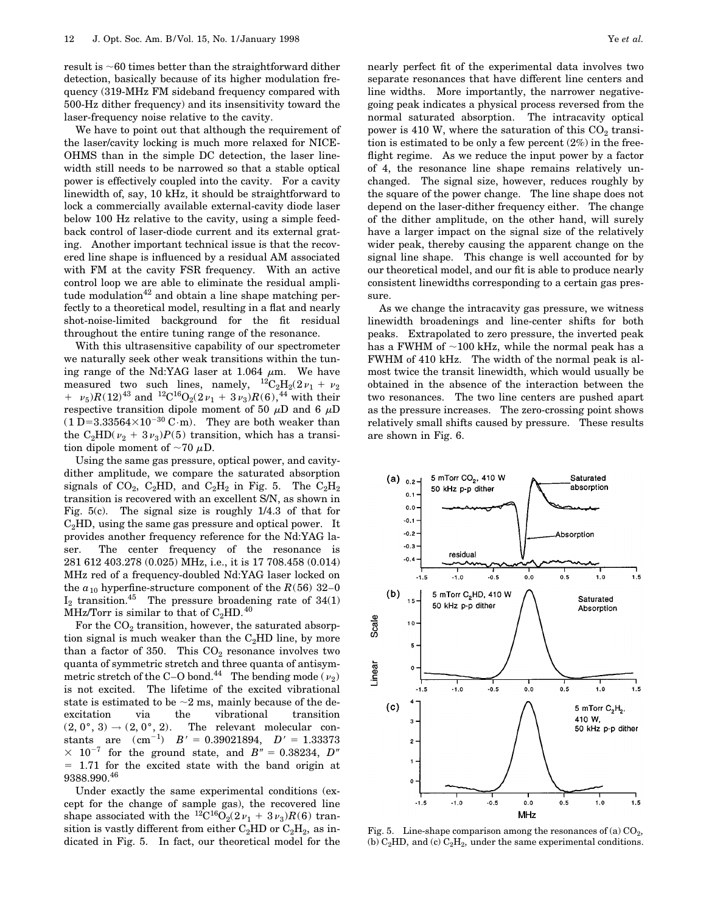result is  $\sim60$  times better than the straightforward dither detection, basically because of its higher modulation frequency (319-MHz FM sideband frequency compared with 500-Hz dither frequency) and its insensitivity toward the laser-frequency noise relative to the cavity.

We have to point out that although the requirement of the laser/cavity locking is much more relaxed for NICE-OHMS than in the simple DC detection, the laser linewidth still needs to be narrowed so that a stable optical power is effectively coupled into the cavity. For a cavity linewidth of, say, 10 kHz, it should be straightforward to lock a commercially available external-cavity diode laser below 100 Hz relative to the cavity, using a simple feedback control of laser-diode current and its external grating. Another important technical issue is that the recovered line shape is influenced by a residual AM associated with FM at the cavity FSR frequency. With an active control loop we are able to eliminate the residual amplitude modulation $42$  and obtain a line shape matching perfectly to a theoretical model, resulting in a flat and nearly shot-noise-limited background for the fit residual throughout the entire tuning range of the resonance.

With this ultrasensitive capability of our spectrometer we naturally seek other weak transitions within the tuning range of the Nd:YAG laser at  $1.064 \mu m$ . We have measured two such lines, namely,  ${}^{12}C_2H_2(2\nu_1 + \nu_2)$ +  $\nu_5$ ) $R(12)^{43}$  and <sup>12</sup>C<sup>16</sup>O<sub>2</sub>(2 $\nu_1$  + 3 $\nu_3$ ) $R(6)$ ,<sup>44</sup> with their respective transition dipole moment of 50  $\mu$ D and 6  $\mu$ D  $(1 D=3.33564\times10^{-30} \text{ C}\cdot\text{m})$ . They are both weaker than the C<sub>2</sub>HD( $v_2$  + 3 $v_3$ )P(5) transition, which has a transition dipole moment of  $\sim$ 70  $\mu$ D.

Using the same gas pressure, optical power, and cavitydither amplitude, we compare the saturated absorption signals of  $CO_2$ ,  $C_2HD$ , and  $C_2H_2$  in Fig. 5. The  $C_2H_2$ transition is recovered with an excellent S/N, as shown in Fig. 5(c). The signal size is roughly 1/4.3 of that for  $C<sub>2</sub>HD$ , using the same gas pressure and optical power. It provides another frequency reference for the Nd:YAG laser. The center frequency of the resonance is 281 612 403.278 (0.025) MHz, i.e., it is 17 708.458 (0.014) MHz red of a frequency-doubled Nd:YAG laser locked on the  $a_{10}$  hyperfine-structure component of the  $R(56)$  32–0  $I_2$  transition.<sup>45</sup> The pressure broadening rate of 34(1) MHz/Torr is similar to that of  $C_2HD$ .<sup>40</sup>

For the  $CO<sub>2</sub>$  transition, however, the saturated absorption signal is much weaker than the  $C_2HD$  line, by more than a factor of 350. This  $CO<sub>2</sub>$  resonance involves two quanta of symmetric stretch and three quanta of antisymmetric stretch of the C–O bond.<sup>44</sup> The bending mode ( $v_2$ ) is not excited. The lifetime of the excited vibrational state is estimated to be  $\sim$ 2 ms, mainly because of the deexcitation via the vibrational transition  $(2, 0^{\circ}, 3) \rightarrow (2, 0^{\circ}, 2)$ . The relevant molecular constants are  $(cm^{-1})$   $B' = 0.39021894, D' = 1.33373$  $\times$  10<sup>-7</sup> for the ground state, and *B<sup>n</sup>* = 0.38234, *D<sup>n</sup>*  $= 1.71$  for the excited state with the band origin at 9388.990.<sup>46</sup>

Under exactly the same experimental conditions (except for the change of sample gas), the recovered line shape associated with the <sup>12</sup>C<sup>16</sup>O<sub>2</sub>(2 $\nu_1$  + 3 $\nu_3$ )*R*(6) transition is vastly different from either  $C_2HD$  or  $C_2H_2$ , as indicated in Fig. 5. In fact, our theoretical model for the

nearly perfect fit of the experimental data involves two separate resonances that have different line centers and line widths. More importantly, the narrower negativegoing peak indicates a physical process reversed from the normal saturated absorption. The intracavity optical power is 410 W, where the saturation of this  $CO<sub>2</sub>$  transition is estimated to be only a few percent  $(2\%)$  in the freeflight regime. As we reduce the input power by a factor of 4, the resonance line shape remains relatively unchanged. The signal size, however, reduces roughly by the square of the power change. The line shape does not depend on the laser-dither frequency either. The change of the dither amplitude, on the other hand, will surely have a larger impact on the signal size of the relatively wider peak, thereby causing the apparent change on the signal line shape. This change is well accounted for by our theoretical model, and our fit is able to produce nearly consistent linewidths corresponding to a certain gas pressure.

As we change the intracavity gas pressure, we witness linewidth broadenings and line-center shifts for both peaks. Extrapolated to zero pressure, the inverted peak has a FWHM of  $\sim$ 100 kHz, while the normal peak has a FWHM of 410 kHz. The width of the normal peak is almost twice the transit linewidth, which would usually be obtained in the absence of the interaction between the two resonances. The two line centers are pushed apart as the pressure increases. The zero-crossing point shows relatively small shifts caused by pressure. These results are shown in Fig. 6.



Fig. 5. Line-shape comparison among the resonances of (a)  $CO<sub>2</sub>$ , (b)  $C_2HD$ , and (c)  $C_2H_2$ , under the same experimental conditions.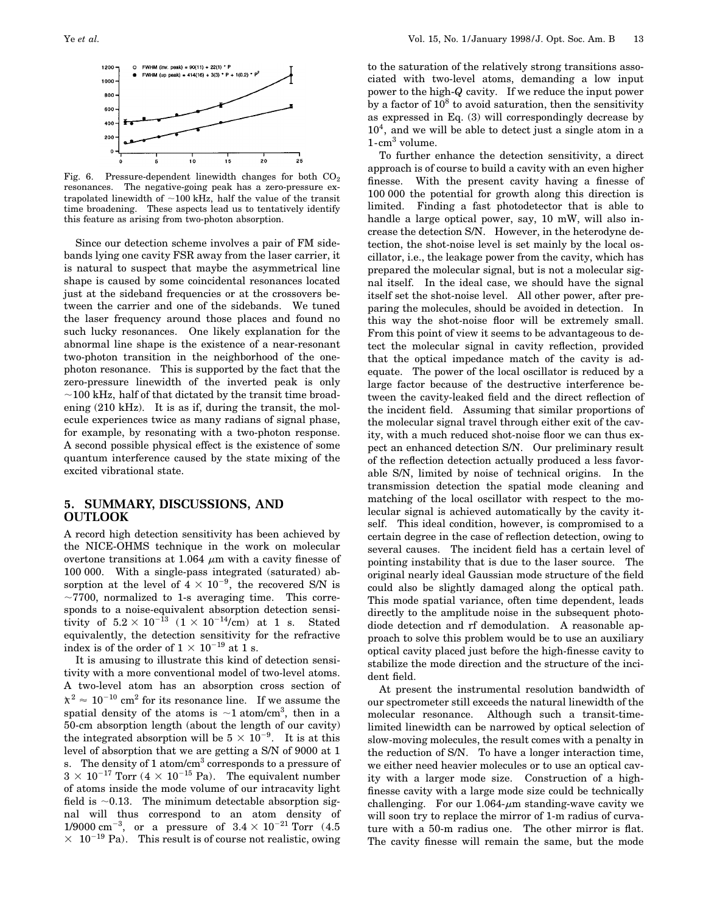

Fig. 6. Pressure-dependent linewidth changes for both  $CO<sub>2</sub>$ resonances. The negative-going peak has a zero-pressure extrapolated linewidth of  $\sim$ 100 kHz, half the value of the transit time broadening. These aspects lead us to tentatively identify this feature as arising from two-photon absorption.

Since our detection scheme involves a pair of FM sidebands lying one cavity FSR away from the laser carrier, it is natural to suspect that maybe the asymmetrical line shape is caused by some coincidental resonances located just at the sideband frequencies or at the crossovers between the carrier and one of the sidebands. We tuned the laser frequency around those places and found no such lucky resonances. One likely explanation for the abnormal line shape is the existence of a near-resonant two-photon transition in the neighborhood of the onephoton resonance. This is supported by the fact that the zero-pressure linewidth of the inverted peak is only  $\sim$ 100 kHz, half of that dictated by the transit time broadening (210 kHz). It is as if, during the transit, the molecule experiences twice as many radians of signal phase, for example, by resonating with a two-photon response. A second possible physical effect is the existence of some quantum interference caused by the state mixing of the excited vibrational state.

# **5. SUMMARY, DISCUSSIONS, AND OUTLOOK**

A record high detection sensitivity has been achieved by the NICE-OHMS technique in the work on molecular overtone transitions at 1.064  $\mu$ m with a cavity finesse of 100 000. With a single-pass integrated (saturated) absorption at the level of  $4 \times 10^{-9}$ , the recovered S/N is  $\sim$ 7700, normalized to 1-s averaging time. This corresponds to a noise-equivalent absorption detection sensitivity of  $5.2 \times 10^{-13}$   $(1 \times 10^{-14}/\text{cm})$  at 1 s. Stated equivalently, the detection sensitivity for the refractive index is of the order of  $1 \times 10^{-19}$  at 1 s.

It is amusing to illustrate this kind of detection sensitivity with a more conventional model of two-level atoms. A two-level atom has an absorption cross section of  $\lambda^2 \approx 10^{-10}$  cm<sup>2</sup> for its resonance line. If we assume the spatial density of the atoms is  $\sim$ 1 atom/cm<sup>3</sup>, then in a 50-cm absorption length (about the length of our cavity) the integrated absorption will be  $5 \times 10^{-9}$ . It is at this level of absorption that we are getting a S/N of 9000 at 1 s. The density of 1 atom/ $cm<sup>3</sup>$  corresponds to a pressure of  $3 \times 10^{-17}$  Torr ( $4 \times 10^{-15}$  Pa). The equivalent number of atoms inside the mode volume of our intracavity light field is  $~0.13$ . The minimum detectable absorption signal will thus correspond to an atom density of  $1/9000 \text{ cm}^{-3}$ , or a pressure of  $3.4 \times 10^{-21} \text{ Torr}$  (4.5)  $\times$  10<sup>-19</sup> Pa). This result is of course not realistic, owing to the saturation of the relatively strong transitions associated with two-level atoms, demanding a low input power to the high-*Q* cavity. If we reduce the input power by a factor of  $10^8$  to avoid saturation, then the sensitivity as expressed in Eq. (3) will correspondingly decrease by  $10<sup>4</sup>$ , and we will be able to detect just a single atom in a  $1$ -cm<sup>3</sup> volume.

To further enhance the detection sensitivity, a direct approach is of course to build a cavity with an even higher finesse. With the present cavity having a finesse of 100 000 the potential for growth along this direction is limited. Finding a fast photodetector that is able to handle a large optical power, say, 10 mW, will also increase the detection S/N. However, in the heterodyne detection, the shot-noise level is set mainly by the local oscillator, i.e., the leakage power from the cavity, which has prepared the molecular signal, but is not a molecular signal itself. In the ideal case, we should have the signal itself set the shot-noise level. All other power, after preparing the molecules, should be avoided in detection. In this way the shot-noise floor will be extremely small. From this point of view it seems to be advantageous to detect the molecular signal in cavity reflection, provided that the optical impedance match of the cavity is adequate. The power of the local oscillator is reduced by a large factor because of the destructive interference between the cavity-leaked field and the direct reflection of the incident field. Assuming that similar proportions of the molecular signal travel through either exit of the cavity, with a much reduced shot-noise floor we can thus expect an enhanced detection S/N. Our preliminary result of the reflection detection actually produced a less favorable S/N, limited by noise of technical origins. In the transmission detection the spatial mode cleaning and matching of the local oscillator with respect to the molecular signal is achieved automatically by the cavity itself. This ideal condition, however, is compromised to a certain degree in the case of reflection detection, owing to several causes. The incident field has a certain level of pointing instability that is due to the laser source. The original nearly ideal Gaussian mode structure of the field could also be slightly damaged along the optical path. This mode spatial variance, often time dependent, leads directly to the amplitude noise in the subsequent photodiode detection and rf demodulation. A reasonable approach to solve this problem would be to use an auxiliary optical cavity placed just before the high-finesse cavity to stabilize the mode direction and the structure of the incident field.

At present the instrumental resolution bandwidth of our spectrometer still exceeds the natural linewidth of the molecular resonance. Although such a transit-timelimited linewidth can be narrowed by optical selection of slow-moving molecules, the result comes with a penalty in the reduction of S/N. To have a longer interaction time, we either need heavier molecules or to use an optical cavity with a larger mode size. Construction of a highfinesse cavity with a large mode size could be technically challenging. For our  $1.064$ - $\mu$ m standing-wave cavity we will soon try to replace the mirror of 1-m radius of curvature with a 50-m radius one. The other mirror is flat. The cavity finesse will remain the same, but the mode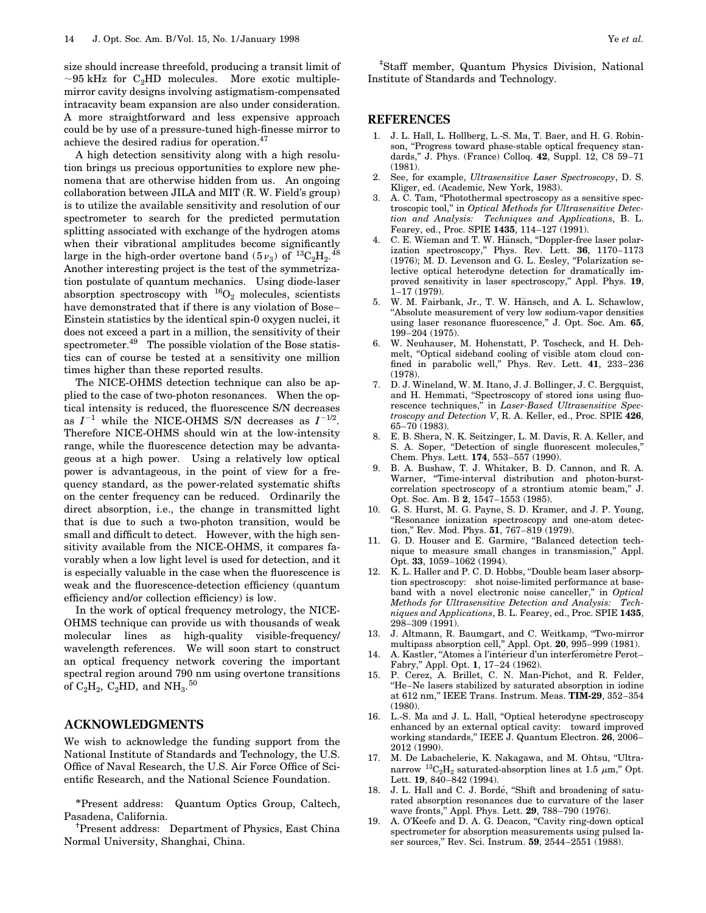size should increase threefold, producing a transit limit of  $\sim$ 95 kHz for C<sub>2</sub>HD molecules. More exotic multiplemirror cavity designs involving astigmatism-compensated intracavity beam expansion are also under consideration. A more straightforward and less expensive approach could be by use of a pressure-tuned high-finesse mirror to achieve the desired radius for operation.47

A high detection sensitivity along with a high resolution brings us precious opportunities to explore new phenomena that are otherwise hidden from us. An ongoing collaboration between JILA and MIT (R. W. Field's group) is to utilize the available sensitivity and resolution of our spectrometer to search for the predicted permutation splitting associated with exchange of the hydrogen atoms when their vibrational amplitudes become significantly large in the high-order overtone band  $(5\,\nu_3)$  of  $^{13}{\rm C_2H_2}$ .<sup>48</sup> Another interesting project is the test of the symmetrization postulate of quantum mechanics. Using diode-laser absorption spectroscopy with  ${}^{16}O_2$  molecules, scientists have demonstrated that if there is any violation of Bose– Einstein statistics by the identical spin-0 oxygen nuclei, it does not exceed a part in a million, the sensitivity of their spectrometer. $49$  The possible violation of the Bose statistics can of course be tested at a sensitivity one million times higher than these reported results.

The NICE-OHMS detection technique can also be applied to the case of two-photon resonances. When the optical intensity is reduced, the fluorescence S/N decreases as  $I^{-1}$  while the NICE-OHMS S/N decreases as  $I^{-1/2}$ . Therefore NICE-OHMS should win at the low-intensity range, while the fluorescence detection may be advantageous at a high power. Using a relatively low optical power is advantageous, in the point of view for a frequency standard, as the power-related systematic shifts on the center frequency can be reduced. Ordinarily the direct absorption, i.e., the change in transmitted light that is due to such a two-photon transition, would be small and difficult to detect. However, with the high sensitivity available from the NICE-OHMS, it compares favorably when a low light level is used for detection, and it is especially valuable in the case when the fluorescence is weak and the fluorescence-detection efficiency (quantum efficiency and/or collection efficiency) is low.

In the work of optical frequency metrology, the NICE-OHMS technique can provide us with thousands of weak molecular lines as high-quality visible-frequency/ wavelength references. We will soon start to construct an optical frequency network covering the important spectral region around 790 nm using overtone transitions of  $\rm{C_2H_2,\ C_2HD, \ and \ NH_3.^{50}}$ 

# **ACKNOWLEDGMENTS**

We wish to acknowledge the funding support from the National Institute of Standards and Technology, the U.S. Office of Naval Research, the U.S. Air Force Office of Scientific Research, and the National Science Foundation.

\*Present address: Quantum Optics Group, Caltech, Pasadena, California.

† Present address: Department of Physics, East China Normal University, Shanghai, China.

‡ Staff member, Quantum Physics Division, National Institute of Standards and Technology.

# **REFERENCES**

- 1. J. L. Hall, L. Hollberg, L.-S. Ma, T. Baer, and H. G. Robinson, "Progress toward phase-stable optical frequency standards,'' J. Phys. (France) Colloq. **42**, Suppl. 12, C8 59–71 (1981).
- 2. See, for example, *Ultrasensitive Laser Spectroscopy*, D. S. Kliger, ed. (Academic, New York, 1983).
- 3. A. C. Tam, ''Photothermal spectroscopy as a sensitive spectroscopic tool,'' in *Optical Methods for Ultrasensitive Detection and Analysis: Techniques and Applications*, B. L. Fearey, ed., Proc. SPIE **1435**, 114–127 (1991).
- C. E. Wieman and T. W. Hänsch, "Doppler-free laser polarization spectroscopy,'' Phys. Rev. Lett. **36**, 1170–1173 (1976); M. D. Levenson and G. L. Eesley, "Polarization selective optical heterodyne detection for dramatically improved sensitivity in laser spectroscopy,'' Appl. Phys. **19**, 1–17 (1979).
- 5. W. M. Fairbank, Jr., T. W. Hänsch, and A. L. Schawlow, ''Absolute measurement of very low sodium-vapor densities using laser resonance fluorescence,'' J. Opt. Soc. Am. **65**, 199–204 (1975).
- 6. W. Neuhauser, M. Hohenstatt, P. Toscheck, and H. Dehmelt, "Optical sideband cooling of visible atom cloud confined in parabolic well,'' Phys. Rev. Lett. **41**, 233–236 (1978).
- 7. D. J. Wineland, W. M. Itano, J. J. Bollinger, J. C. Bergquist, and H. Hemmati, ''Spectroscopy of stored ions using fluorescence techniques,'' in *Laser-Based Ultrasensitive Spectroscopy and Detection V*, R. A. Keller, ed., Proc. SPIE **426**, 65–70 (1983).
- 8. E. B. Shera, N. K. Seitzinger, L. M. Davis, R. A. Keller, and S. A. Soper, ''Detection of single fluorescent molecules,'' Chem. Phys. Lett. **174**, 553–557 (1990).
- 9. B. A. Bushaw, T. J. Whitaker, B. D. Cannon, and R. A. Warner, ''Time-interval distribution and photon-burstcorrelation spectroscopy of a strontium atomic beam,'' J. Opt. Soc. Am. B **2**, 1547–1553 (1985).
- 10. G. S. Hurst, M. G. Payne, S. D. Kramer, and J. P. Young, ''Resonance ionization spectroscopy and one-atom detection,'' Rev. Mod. Phys. **51**, 767–819 (1979).
- 11. G. D. Houser and E. Garmire, "Balanced detection technique to measure small changes in transmission,'' Appl. Opt. **33**, 1059–1062 (1994).
- 12. K. L. Haller and P. C. D. Hobbs, "Double beam laser absorption spectroscopy: shot noise-limited performance at baseband with a novel electronic noise canceller,'' in *Optical Methods for Ultrasensitive Detection and Analysis: Techniques and Applications*, B. L. Fearey, ed., Proc. SPIE **1435**, 298–309 (1991).
- 13. J. Altmann, R. Baumgart, and C. Weitkamp, ''Two-mirror multipass absorption cell,'' Appl. Opt. **20**, 995–999 (1981).
- 14. A. Kastler, "Atomes à l'intérieur d'un interféromètre Perot-Fabry,'' Appl. Opt. **1**, 17–24 (1962).
- 15. P. Cerez, A. Brillet, C. N. Man-Pichot, and R. Felder, ''He–Ne lasers stabilized by saturated absorption in iodine at 612 nm,'' IEEE Trans. Instrum. Meas. **TIM-29**, 352–354 (1980).
- 16. L.-S. Ma and J. L. Hall, "Optical heterodyne spectroscopy enhanced by an external optical cavity: toward improved working standards,'' IEEE J. Quantum Electron. **26**, 2006– 2012 (1990).
- 17. M. De Labachelerie, K. Nakagawa, and M. Ohtsu, ''Ultranarrow  ${}^{13}C_2H_2$  saturated-absorption lines at 1.5  $\mu$ m," Opt. Lett. **19**, 840–842 (1994).
- 18. J. L. Hall and C. J. Bordé, "Shift and broadening of saturated absorption resonances due to curvature of the laser wave fronts,'' Appl. Phys. Lett. **29**, 788–790 (1976).
- 19. A. O'Keefe and D. A. G. Deacon, "Cavity ring-down optical spectrometer for absorption measurements using pulsed laser sources,'' Rev. Sci. Instrum. **59**, 2544–2551 (1988).